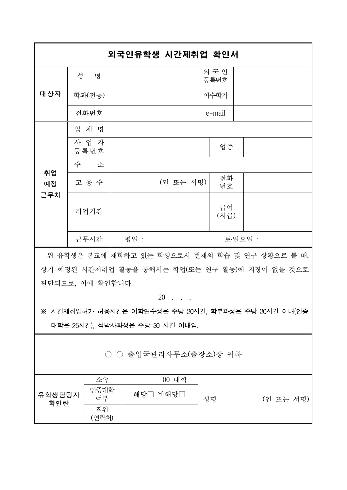|                 |                  | 외국인유학생 시간제취업 확인서                               |               |  |  |  |
|-----------------|------------------|------------------------------------------------|---------------|--|--|--|
| 대상자             | 성<br>명           |                                                | 외 국 인<br>등록번호 |  |  |  |
|                 | 학과(전공)           |                                                | 이수학기          |  |  |  |
|                 | 전화번호             |                                                | e-mail        |  |  |  |
| 취업<br>예정<br>근무처 | 업 체 명            |                                                |               |  |  |  |
|                 | 사 업 자<br>등록번호    |                                                | 업종            |  |  |  |
|                 | 주<br>소           |                                                |               |  |  |  |
|                 | 고 용 주            | (인 또는 서명)                                      | 전화<br>번호      |  |  |  |
|                 | 취업기간             |                                                | 급여<br>(시급)    |  |  |  |
|                 | 근무시간             | 평일 :                                           | 토·일요일 :       |  |  |  |
|                 |                  | 위 유학생은 본교에 재학하고 있는 학생으로서 현재의 학습 및 연구 상황으로 볼 때, |               |  |  |  |
|                 |                  | 상기 예정된 시간제취업 활동을 통해서는 학업(또는 연구 활동)에 지장이 없을 것으로 |               |  |  |  |
|                 | 판단되므로, 이에 확인합니다. |                                                |               |  |  |  |
|                 |                  | $20$                                           |               |  |  |  |

※ 시간제취업허가 허용시간은 어학연수생은 주당 20시간, 학부과정은 주당 20시간 이내(인증 대학은 25시간), 석박사과정은 주당 30 시간 이내임.

## ○ ○ 출입국관리사무소(출장소)장 귀하

|               | 소속          | 대학<br>00    |    |           |
|---------------|-------------|-------------|----|-----------|
| 유학생담당자<br>확인란 | 인증대학<br>여부  | 해당[<br>비해당[ | 성명 | (인 또는 서명) |
|               | 직위<br>(여라처) |             |    |           |